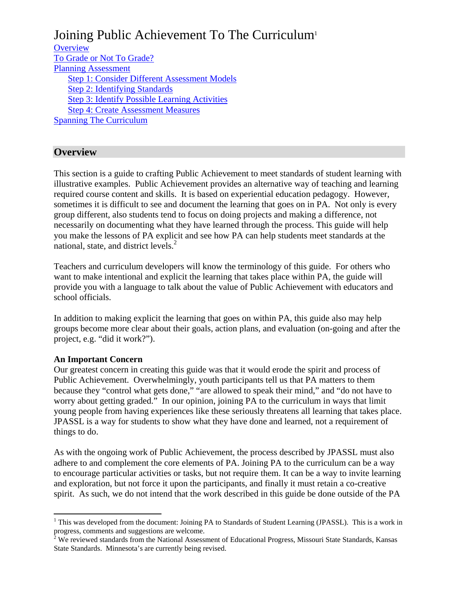# Joining Public Achievement To The Curriculum<sup>1</sup>

**Overview** To Grade or Not To Grade? Planning Assessment Step 1: Consider Different Assessment Models Step 2: Identifying Standards Step 3: Identify Possible Learning Activities Step 4: Create Assessment Measures Spanning The Curriculum

## **Overview**

This section is a guide to crafting Public Achievement to meet standards of student learning with illustrative examples. Public Achievement provides an alternative way of teaching and learning required course content and skills. It is based on experiential education pedagogy. However, sometimes it is difficult to see and document the learning that goes on in PA. Not only is every group different, also students tend to focus on doing projects and making a difference, not necessarily on documenting what they have learned through the process. This guide will help you make the lessons of PA explicit and see how PA can help students meet standards at the national, state, and district levels.<sup>2</sup>

Teachers and curriculum developers will know the terminology of this guide. For others who want to make intentional and explicit the learning that takes place within PA, the guide will provide you with a language to talk about the value of Public Achievement with educators and school officials.

In addition to making explicit the learning that goes on within PA, this guide also may help groups become more clear about their goals, action plans, and evaluation (on-going and after the project, e.g. "did it work?").

### **An Important Concern**

Our greatest concern in creating this guide was that it would erode the spirit and process of Public Achievement. Overwhelmingly, youth participants tell us that PA matters to them because they "control what gets done," "are allowed to speak their mind," and "do not have to worry about getting graded." In our opinion, joining PA to the curriculum in ways that limit young people from having experiences like these seriously threatens all learning that takes place. JPASSL is a way for students to show what they have done and learned, not a requirement of things to do.

As with the ongoing work of Public Achievement, the process described by JPASSL must also adhere to and complement the core elements of PA. Joining PA to the curriculum can be a way to encourage particular activities or tasks, but not require them. It can be a way to invite learning and exploration, but not force it upon the participants, and finally it must retain a co-creative spirit. As such, we do not intend that the work described in this guide be done outside of the PA

 $\overline{a}$ <sup>1</sup> This was developed from the document: Joining PA to Standards of Student Learning (JPASSL). This is a work in progress, comments and suggestions are welcome.

 $2^{\circ}$  We reviewed standards from the National Assessment of Educational Progress, Missouri State Standards, Kansas State Standards. Minnesota's are currently being revised.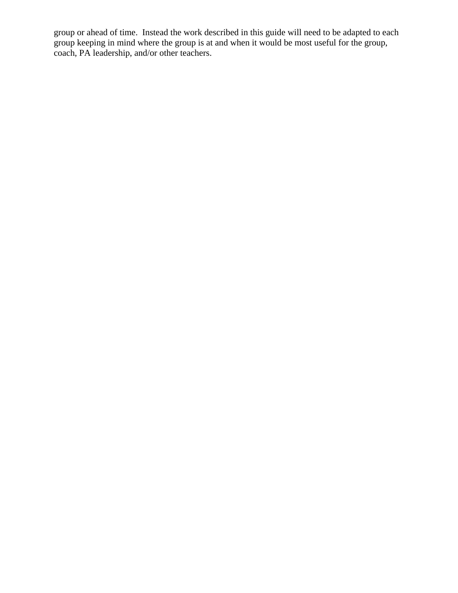group or ahead of time. Instead the work described in this guide will need to be adapted to each group keeping in mind where the group is at and when it would be most useful for the group, coach, PA leadership, and/or other teachers.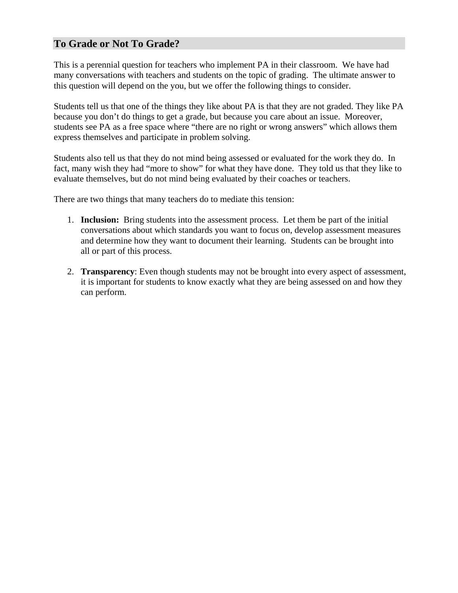## **To Grade or Not To Grade?**

This is a perennial question for teachers who implement PA in their classroom. We have had many conversations with teachers and students on the topic of grading. The ultimate answer to this question will depend on the you, but we offer the following things to consider.

Students tell us that one of the things they like about PA is that they are not graded. They like PA because you don't do things to get a grade, but because you care about an issue. Moreover, students see PA as a free space where "there are no right or wrong answers" which allows them express themselves and participate in problem solving.

Students also tell us that they do not mind being assessed or evaluated for the work they do. In fact, many wish they had "more to show" for what they have done. They told us that they like to evaluate themselves, but do not mind being evaluated by their coaches or teachers.

There are two things that many teachers do to mediate this tension:

- 1. **Inclusion:** Bring students into the assessment process. Let them be part of the initial conversations about which standards you want to focus on, develop assessment measures and determine how they want to document their learning. Students can be brought into all or part of this process.
- 2. **Transparency**: Even though students may not be brought into every aspect of assessment, it is important for students to know exactly what they are being assessed on and how they can perform.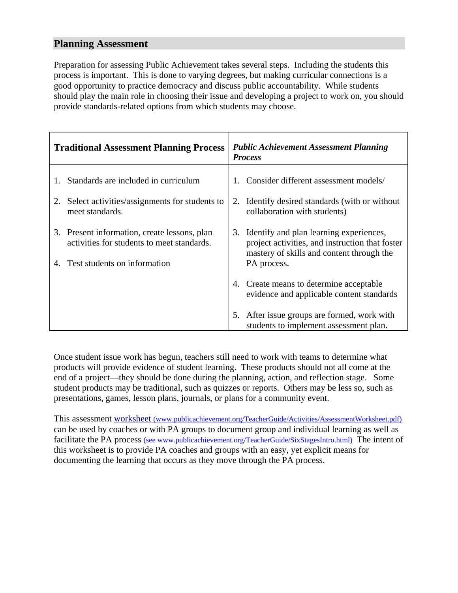## **Planning Assessment**

Preparation for assessing Public Achievement takes several steps. Including the students this process is important. This is done to varying degrees, but making curricular connections is a good opportunity to practice democracy and discuss public accountability. While students should play the main role in choosing their issue and developing a project to work on, you should provide standards-related options from which students may choose.

| <b>Traditional Assessment Planning Process</b> |                                                                                            |    | <b>Public Achievement Assessment Planning</b><br><b>Process</b>                                                                            |  |
|------------------------------------------------|--------------------------------------------------------------------------------------------|----|--------------------------------------------------------------------------------------------------------------------------------------------|--|
|                                                | Standards are included in curriculum                                                       |    | Consider different assessment models/                                                                                                      |  |
|                                                | 2. Select activities/assignments for students to<br>meet standards.                        | 2. | Identify desired standards (with or without<br>collaboration with students)                                                                |  |
|                                                | 3. Present information, create lessons, plan<br>activities for students to meet standards. |    | 3. Identify and plan learning experiences,<br>project activities, and instruction that foster<br>mastery of skills and content through the |  |
|                                                | Test students on information                                                               |    | PA process.                                                                                                                                |  |
|                                                |                                                                                            |    | 4. Create means to determine acceptable<br>evidence and applicable content standards                                                       |  |
|                                                |                                                                                            |    | 5. After issue groups are formed, work with<br>students to implement assessment plan.                                                      |  |

Once student issue work has begun, teachers still need to work with teams to determine what products will provide evidence of student learning. These products should not all come at the end of a project—they should be done during the planning, action, and reflection stage. Some student products may be traditional, such as quizzes or reports. Others may be less so, such as presentations, games, lesson plans, journals, or plans for a community event.

This assessment worksheet (www.publicachievement.org/TeacherGuide/Activities/AssessmentWorksheet.pdf) can be used by coaches or with PA groups to document group and individual learning as well as facilitate the PA process (see www.publicachievement.org/TeacherGuide/SixStagesIntro.html) The intent of this worksheet is to provide PA coaches and groups with an easy, yet explicit means for documenting the learning that occurs as they move through the PA process.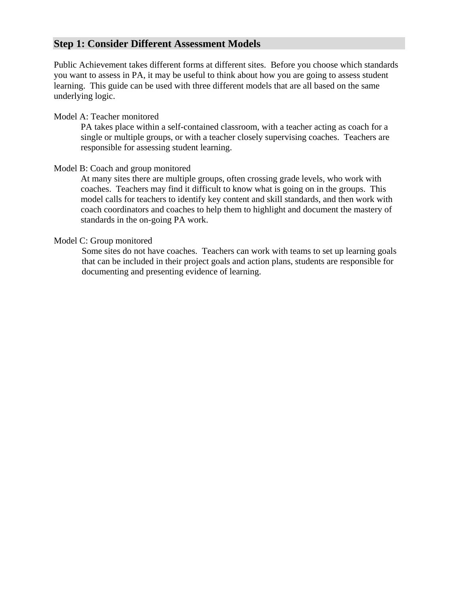## **Step 1: Consider Different Assessment Models**

Public Achievement takes different forms at different sites. Before you choose which standards you want to assess in PA, it may be useful to think about how you are going to assess student learning. This guide can be used with three different models that are all based on the same underlying logic.

#### Model A: Teacher monitored

PA takes place within a self-contained classroom, with a teacher acting as coach for a single or multiple groups, or with a teacher closely supervising coaches. Teachers are responsible for assessing student learning.

#### Model B: Coach and group monitored

At many sites there are multiple groups, often crossing grade levels, who work with coaches. Teachers may find it difficult to know what is going on in the groups. This model calls for teachers to identify key content and skill standards, and then work with coach coordinators and coaches to help them to highlight and document the mastery of standards in the on-going PA work.

#### Model C: Group monitored

Some sites do not have coaches. Teachers can work with teams to set up learning goals that can be included in their project goals and action plans, students are responsible for documenting and presenting evidence of learning.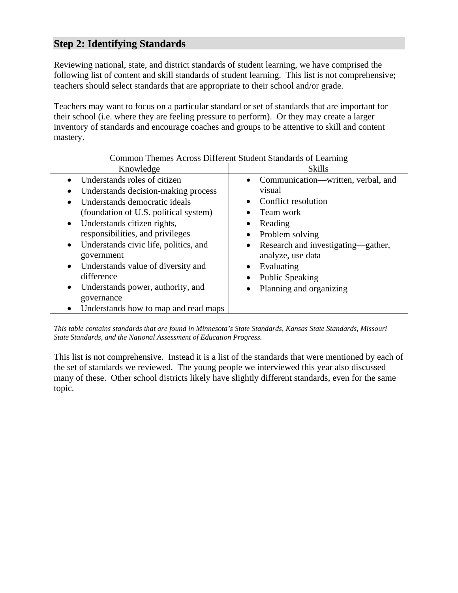## **Step 2: Identifying Standards**

Reviewing national, state, and district standards of student learning, we have comprised the following list of content and skill standards of student learning. This list is not comprehensive; teachers should select standards that are appropriate to their school and/or grade.

Teachers may want to focus on a particular standard or set of standards that are important for their school (i.e. where they are feeling pressure to perform). Or they may create a larger inventory of standards and encourage coaches and groups to be attentive to skill and content mastery.

|                                                    | Common Themes Across Diricient Student Standards of Learning |  |  |
|----------------------------------------------------|--------------------------------------------------------------|--|--|
| Knowledge                                          | <b>Skills</b>                                                |  |  |
| Understands roles of citizen                       | • Communication—written, verbal, and                         |  |  |
| Understands decision-making process                | visual                                                       |  |  |
| Understands democratic ideals                      | Conflict resolution<br>$\bullet$                             |  |  |
| (foundation of U.S. political system)              | Team work                                                    |  |  |
| Understands citizen rights,<br>$\bullet$           | Reading<br>$\bullet$                                         |  |  |
| responsibilities, and privileges                   | Problem solving<br>$\bullet$                                 |  |  |
| Understands civic life, politics, and<br>$\bullet$ | • Research and investigating—gather,                         |  |  |
| government                                         | analyze, use data                                            |  |  |
| Understands value of diversity and<br>$\bullet$    | Evaluating<br>$\bullet$                                      |  |  |
| difference                                         | <b>Public Speaking</b><br>$\bullet$                          |  |  |
| Understands power, authority, and<br>$\bullet$     | Planning and organizing                                      |  |  |
| governance                                         |                                                              |  |  |
| Understands how to map and read maps               |                                                              |  |  |

## Common Themes Across Different Student Standards of Learning

*This table contains standards that are found in Minnesota's State Standards, Kansas State Standards, Missouri State Standards, and the National Assessment of Education Progress.* 

This list is not comprehensive. Instead it is a list of the standards that were mentioned by each of the set of standards we reviewed. The young people we interviewed this year also discussed many of these. Other school districts likely have slightly different standards, even for the same topic.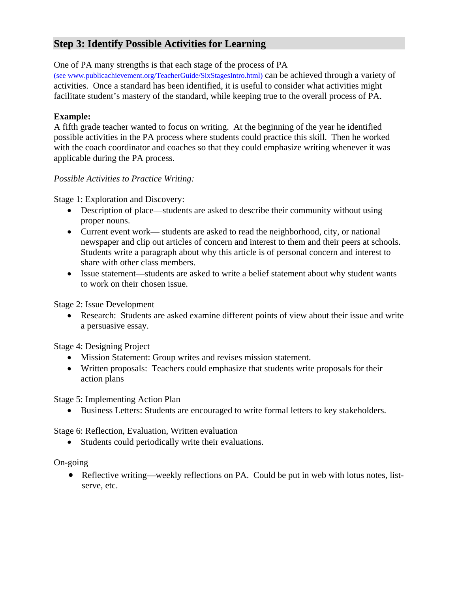## **Step 3: Identify Possible Activities for Learning**

One of PA many strengths is that each stage of the process of PA

(see www.publicachievement.org/TeacherGuide/SixStagesIntro.html) can be achieved through a variety of activities. Once a standard has been identified, it is useful to consider what activities might facilitate student's mastery of the standard, while keeping true to the overall process of PA.

### **Example:**

A fifth grade teacher wanted to focus on writing. At the beginning of the year he identified possible activities in the PA process where students could practice this skill. Then he worked with the coach coordinator and coaches so that they could emphasize writing whenever it was applicable during the PA process.

### *Possible Activities to Practice Writing:*

Stage 1: Exploration and Discovery:

- Description of place—students are asked to describe their community without using proper nouns.
- Current event work— students are asked to read the neighborhood, city, or national newspaper and clip out articles of concern and interest to them and their peers at schools. Students write a paragraph about why this article is of personal concern and interest to share with other class members.
- Issue statement—students are asked to write a belief statement about why student wants to work on their chosen issue.

Stage 2: Issue Development

• Research: Students are asked examine different points of view about their issue and write a persuasive essay.

Stage 4: Designing Project

- Mission Statement: Group writes and revises mission statement.
- Written proposals: Teachers could emphasize that students write proposals for their action plans

Stage 5: Implementing Action Plan

• Business Letters: Students are encouraged to write formal letters to key stakeholders.

Stage 6: Reflection, Evaluation, Written evaluation

• Students could periodically write their evaluations.

On-going

• Reflective writing—weekly reflections on PA. Could be put in web with lotus notes, listserve, etc.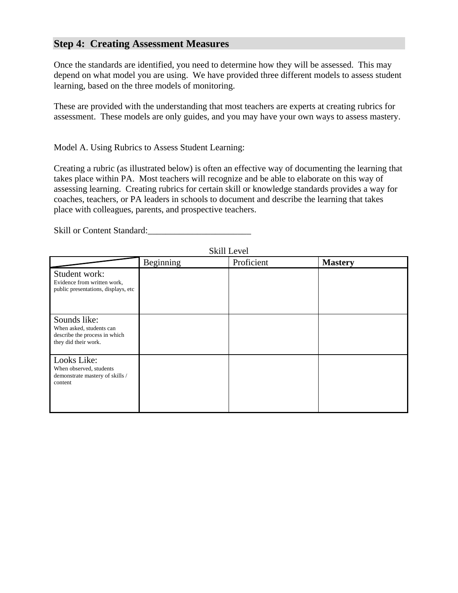## **Step 4: Creating Assessment Measures**

Once the standards are identified, you need to determine how they will be assessed. This may depend on what model you are using. We have provided three different models to assess student learning, based on the three models of monitoring.

These are provided with the understanding that most teachers are experts at creating rubrics for assessment. These models are only guides, and you may have your own ways to assess mastery.

Model A. Using Rubrics to Assess Student Learning:

Creating a rubric (as illustrated below) is often an effective way of documenting the learning that takes place within PA. Most teachers will recognize and be able to elaborate on this way of assessing learning. Creating rubrics for certain skill or knowledge standards provides a way for coaches, teachers, or PA leaders in schools to document and describe the learning that takes place with colleagues, parents, and prospective teachers.

Skill or Content Standard:

|                                                                                                   | Beginning | Proficient | <b>Mastery</b> |
|---------------------------------------------------------------------------------------------------|-----------|------------|----------------|
| Student work:<br>Evidence from written work,<br>public presentations, displays, etc               |           |            |                |
| Sounds like:<br>When asked, students can<br>describe the process in which<br>they did their work. |           |            |                |
| Looks Like:<br>When observed, students<br>demonstrate mastery of skills /<br>content              |           |            |                |

Skill Level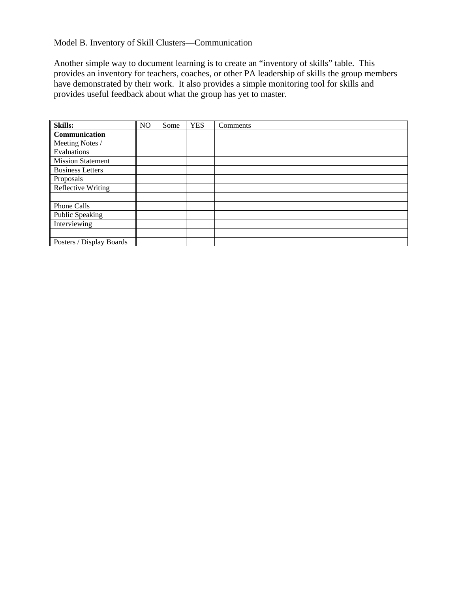## Model B. Inventory of Skill Clusters—Communication

Another simple way to document learning is to create an "inventory of skills" table. This provides an inventory for teachers, coaches, or other PA leadership of skills the group members have demonstrated by their work. It also provides a simple monitoring tool for skills and provides useful feedback about what the group has yet to master.

| <b>Skills:</b>           | N <sub>O</sub> | Some | <b>YES</b> | Comments |
|--------------------------|----------------|------|------------|----------|
| Communication            |                |      |            |          |
| Meeting Notes /          |                |      |            |          |
| Evaluations              |                |      |            |          |
| <b>Mission Statement</b> |                |      |            |          |
| <b>Business Letters</b>  |                |      |            |          |
| Proposals                |                |      |            |          |
| Reflective Writing       |                |      |            |          |
|                          |                |      |            |          |
| Phone Calls              |                |      |            |          |
| Public Speaking          |                |      |            |          |
| Interviewing             |                |      |            |          |
|                          |                |      |            |          |
| Posters / Display Boards |                |      |            |          |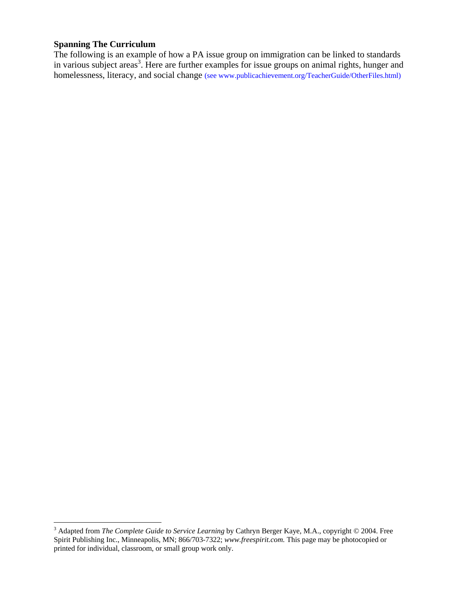#### **Spanning The Curriculum**

The following is an example of how a PA issue group on immigration can be linked to standards in various subject areas<sup>3</sup>. Here are further examples for issue groups on animal rights, hunger and homelessness, literacy, and social change (see www.publicachievement.org/TeacherGuide/OtherFiles.html)

 3 Adapted from *The Complete Guide to Service Learning* by Cathryn Berger Kaye, M.A., copyright © 2004. Free Spirit Publishing Inc., Minneapolis, MN; 866/703-7322; *www.freespirit.com.* This page may be photocopied or printed for individual, classroom, or small group work only.